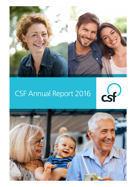

### CSF Annual Report 2016



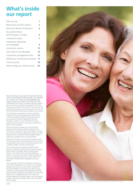### **What's inside our report**

| Who we are                                 |                |
|--------------------------------------------|----------------|
| Board Chair & CEO's report                 | $\overline{2}$ |
| About the Board of Directors               | 4              |
| Our performance:<br>2015/16 year in review | 6              |
| Investment policy                          | 7              |
| Investment objectives                      |                |
| and strategies                             | 8              |
| Investment returns                         | 13             |
| How returns are allocated                  | 14             |
| Investment management fees                 | 16             |
| Where your money was invested              | 17             |
| Fund accounts                              | 18             |
| Other things you need to know              | 20             |
|                                            |                |

This Annual Report was issued 28 November 2016 by CSF Pty Limited (ABN 30 006 169 286; AFSL 246664) (the Trustee), the Trustee of the MyLifeMyMoney Superannuation Fund (ABN 50 237 896 957; SPIN CSF0100AU) (the Fund). It provides important details about the Fund's activities and investments for the financial year ended 30 June 2016. A summary of the benefits and features of the Fund can be found in the Product Disclosure Statements available upon request.

The information contained in this Annual Report is about the Fund and is general information only. It has been prepared without taking into account your personal investment objectives, financial situation or needs. It is not intended to be, and should not be construed in any way as, investment, legal or financial advice.

We recommend you assess your own financial situation before making a decision based on the information contained in this Annual Report. To help you with your decision–making you may wish to seek assistance from a qualified financial advisor before making any changes to your financial affairs.

Neither the Trustee, nor any of the Trustee's service providers, guarantees the performance of the Fund or any particular rate of return. Past performance is not a reliable indicator of future performance.

The Trustee does not accept any liability, either directly or indirectly, arising from any person relying, either wholly or partially, upon any information shown in, or omitted from, this Annual Report. Under no circumstances will the Trustee be liable for any loss or damage caused by a user's reliance on information obtained from reading this Annual Report.

The information in this Annual Report is correct as at the date of publication. In the event of a material change occurring to any information contained in this Annual Report, the Trustee will notify existing members in writing within the timeframes required by law. Where a change to information in this Annual Report is not materially adverse, the Trustee will provide updated information online. You may request a paper copy of any change, which will be provided free of charge

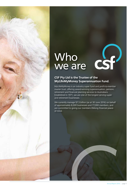### Who we are

### **CSF Pty Ltd is the Trustee of the MyLifeMyMoney Superannuation Fund.**

MyLifeMyMoney is an industry super fund and profit-to-member master trust, offering award-winning superannuation, pension, retirement and financial planning services to Australians. Established in 1971, we are one of the longest serving super and retirement businesses.

We currently manage \$7.3 billion (as at 30 June 2016) on behalf of approximately 8,000 businesses and 77,000 members, and are committed to giving our members lifelong financial peace of mind.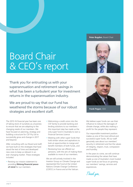#### **Peter Bugden**, Board Chair

# Board Chair & CEO's report

Thank you for entrusting us with your superannuation and retirement savings in what has been a turbulent year for investment returns in the superannuation industry.

We are proud to say that our Fund has weathered the storms because of our robust strategies and excellent staff.

The 2015-16 financial year has been one of taking stock of ourselves as a business to ensure that we are adapting to the changing needs of our members. We have focused on planning, strategy and building a structure for CSF Pty Ltd to successfully grow and change in 2017 and beyond.

After consulting with our Board and staff, we have built on the strategies that have stood the test of time and developed new ones to keep us relevant in an ever changing market. These strategies included:

• Revising our mission statement to providing **lifelong financial peace of mind** for our members

- Welcoming a credit union into the CSF family to provide banking and lending solutions to our members – this important step has made us the only super fund in Australia to own a Financial Services Licence
- Meeting with other super funds that hold similar values and aspirations to look at opportunities to merge and benefit members of both funds, and
- Reviewing how we offered our pensions, with the aim of making them available to more of our members.

We are still actively involved in the Investor Group on Climate Change and represented the Fund at the United Nations Climate Change Conference (COP21) in France and at the Vatican.



**Frank Pegan**, CEO

We believe super funds can use their influence to reduce the damages of climate change, while also making a profit for the people they represent.

Our responsible investment position makes us one of the most ethical and successful super funds. All our staff genuinely care about our members' security in retirement and live the values of integrity, respect, trust, compassion and humility.

In the years to come, we will continue demonstrating the values that have made us one of Australia's most trusted super funds as we focus on growing our members' savings, services and experiences.

*Thank you.*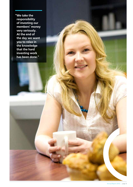**"We take the responsibility of investing our members' money very seriously. At the end of the day we want you to relax in the knowledge that the hard investing work has been done."**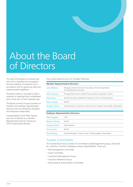# About the Board of Directors

The role of the Board is to ensure that the Fund is operated and managed in the best interests of members and in accordance with its governing rules and superannuation legislation.

The Board meets in accordance with a schedule of meetings that is established prior to the start of each calendar year.

The Board consists of equal numbers of member and employer representative Directors who are elected by members and employers respectively.

Congratulations to Mr Peter Haysey who was re-elected as a member Representative Director during our 2016 Trustee Board election.

#### The current Directors (as at 31 October 2016) are:

| John Mildren         | Manager, Schools and Senior Secondary, Victorian Registration<br>and Qualifications Authority |  |
|----------------------|-----------------------------------------------------------------------------------------------|--|
| <b>John Connors</b>  | Principal, Resurrection Catholic Primary School, Kings Park, Victoria                         |  |
| Deb James            | General Secretary, Independent Education Union Victoria Tasmania                              |  |
| <b>Peter Haysey</b>  | Retired                                                                                       |  |
| <b>Gregory Quinn</b> | Assistant Dean of Learning, Ambrose Treacy College, Indooroopilly, Queensland                 |  |
|                      |                                                                                               |  |

#### **Employer Representative Directors**

| Peter Bugden          | Chair                                                       |
|-----------------------|-------------------------------------------------------------|
| <b>Marcia Clohesy</b> | Retired                                                     |
| <b>Carolyn Harkin</b> | Self-employed                                               |
| <b>Chris Harkin</b>   | Retired                                                     |
| <b>Paul Murphy</b>    | General Manager, St Luke's Green, Woolloongabba, Queensland |

#### Trustee Committees

The Trustee Board has a number of Committees and Management groups, all chaired by a Director, to which it delegates various responsibilities. These are:

- Risk Management Committee
- Audit Committee
- Investment Management Group
- Insurance Reference Group
- Remuneration & Nomination Committee.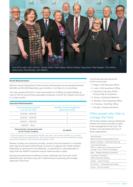

*From left to right: John Connors, Carolyn Harkin, Peter Haysey, Marcia Clohesy, Greg Quinn, Peter Bugden, Chris Harkin, Debra James, Paul Murphy, John Mildren.*

#### **Board Remuneration**

Directors receive sitting fees for their services and presently are remunerated between \$36,000 and \$52,000 depending upon whether or not they sit on committees.

The Chair receives \$105,391 in total remuneration for fulfilling his responsibilities as Chair of CSF Pty Ltd and those associated companies of which the Trustee is the owner or a major investor.

| <b>Executive Remuneration</b>                               |                                               |
|-------------------------------------------------------------|-----------------------------------------------|
| Total remuneration bands*<br>as at 30 June 2016             | Number of key management<br>personnel in band |
| $$100.000 - $200.000$                                       | Ω                                             |
| $$200.001 - $300.000$                                       | 0                                             |
| $$300.001 - $400.000$                                       | 6                                             |
| $$400.001 - Above$                                          |                                               |
| Total executive remuneration paid<br>by the Trustee Company | \$2,338,051                                   |

\* Total remuneration for key executives includes cash salary, non-monetary benefits (e.g. provision of company vehicle) and superannuation. Key executive personnel are not remunerated with variable performance payments of any kind and remuneration is fixed.

Reviews of salary are conducted annually, at which time remuneration is compared with internal and external benchmarks to ensure it is aligned with market medians. Depending on performance and relativities, an adjustment to salary generally no larger than the AWOTE movement may be made annually to salary.

Key executive personnel are defined as those individuals who form part of the leadership team and have a key role in determining and executing the strategic objectives of the Fund.

Current key executive personnel of the Fund include:

- F. Pegan, Chief Executive Officer
- G. Lette, Chief Investment Officer
- T. Sammann, Executive Officer – Finance, Risk & Compliance
- R. Clancy, Institutional Relations
- E. Wooden, Chief Operating Officer
- D. O'Sullivan, Chief Risk Officer
- J. Farrugia, Company Secretary.

### Other people who help us manage the Fund

The Trustee employs various professional advisers and service providers to assist in the management of the Fund. The Trustee is not associated with any of these organisations.

| Administration -<br>Mercer Outsourcing (Australia) Pty Ltd                                                  |
|-------------------------------------------------------------------------------------------------------------|
| Master Custodian - NAB Asset Servicing                                                                      |
| Investment Managers -<br>Refer to 'Where your money was invested'<br>on page 17 for a full list of managers |
| Bank – Westpac Banking Corporation                                                                          |
| Investment Consultant -<br><b>JANA Investment Advisers</b>                                                  |
| Auditor - Grant Thornton                                                                                    |
| Tax Advisor - PricewaterhouseCoopers                                                                        |
| Insurer - TAL Life Limited                                                                                  |
|                                                                                                             |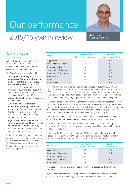# Our performance



### 2015/16 year in review Chief Investment Officer

### Staying afloat in stormy seas

After a 3 year period of double-digit returns, the 2015/16 financial year brought more challenging times for Australian superannuation funds.

The financial year was highlighted by:

- **Two significant equity market corrections, firstly through August, and secondly from early-January until mid-February.** The Australian share market fell by around 12% between end-July and 24 August 2015 and again by 10% between the start of January and mid-February 2016, having recovered most of the August losses in the meantime.
- **A very strong recovery from mid-February through to the end of the year.** This recovery meant that the domestic share market finished virtually flat for the full year, taking dividends into account.
- **Right at the end of the financial year, substantial volatility as a result of the UK's Brexit vote.** However, the initial losses in most equity markets were very quickly covered.

In this more challenging environment we are pleased to report that performance of our portfolios has generally held up well. The financial year return for each of our Managed Choice options is presented in the following table.

| Option                         | Superannuation<br>(%, after tax and fees) | Pension<br>(%, after tax and fees) |
|--------------------------------|-------------------------------------------|------------------------------------|
| Aggressive                     | 5.7                                       | 6.2                                |
| <b>Moderately Aggressive</b>   | 5.9                                       | 6.6                                |
| Balanced (MySuper)             | 57                                        | 67                                 |
| <b>Conservative Balanced</b>   | 5.7                                       | 6.5                                |
| <b>Moderately Conservative</b> | 5.6                                       | 6.3                                |
| Conservative                   | 5.4                                       | 6.2                                |
| <b>RetirePlus</b>              | 5.3                                       | 6.0                                |
| RetireStable                   | 4.2                                       | 5.3                                |

These final returns are considerably below those recorded in 2012/13, 2013/14 and 2014/15. For instance, our Balanced Option (superannuation) returned 14.1%, 12.3% and 9.8% respectively in those years. Nonetheless, they are actually slightly above our average annual long-term expected return, based on our long-term CPI-based objectives (CPI plus 3% per annum over rolling 10 year periods for our Balanced superannuation option.

The pattern of returns through the year for our various options was broadly as expected. When markets were falling, our Aggressive and Moderately Aggressive options suffered the most but they recovered the most in the rally from mid-February. It was encouraging to see that our pension-oriented options, RetirePlus and RetireStable, provided good protection during the periods when markets were falling most sharply.

All things considered, we are pleased to report that our portfolios have weathered the storm pretty well over the last year and have broadly performed "true to label".

Of course, returns for a single year in isolation are of limited relevance. The good news here is that the solid results achieved this year consolidate our sound long term performance record.

Returns for the 10 year period ending June 2016 are shown in the following table. Please note that our Conservative Balanced, RetirePlus and RetireStable options have not been in existence for 10 years and so are excluded from the table.

| Option                         | Superannuation<br>(%, after tax and fees) | Pension<br>(%, after tax and fees) |  |
|--------------------------------|-------------------------------------------|------------------------------------|--|
| Aggressive                     | 6.9                                       | 75                                 |  |
| <b>Moderately Aggressive</b>   | 6.6                                       | 74                                 |  |
| Balanced (MySuper)             | 6.3                                       | 71                                 |  |
| <b>Moderately Conservative</b> | 5.8                                       | 6.6                                |  |
| Conservative                   | 58                                        | 6.6                                |  |

In all cases, the returns over the 10 year period have exceeded our long-term real return objective.

If you wish to hear more about our performance over the long-term, or otherwise discuss your investment strategy, please contact one of our financial planners.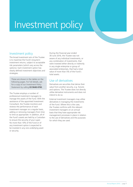# Investment policy

#### Investment policy

The broad investment aim of the Trustee is to maximise the Fund's long-term investment returns, subject to acceptable risk parameters (which vary across the options). Each investment option has clearly defined investment objectives and strategies.

These are shown in the tables on the following pages. For full details, ask for a copy of our Investment Policy Statement by calling **03 9648 4700**.

The Trustee employs a number of professional investment managers to manage the assets of the Fund. With the assistance of the appointed Investment Consultant, the Trustee monitors and reviews the performance of each investment manager on a regular basis, adding or removing managers from time to time as appropriate. In addition, all of the Fund's assets are held by a Custodian to ensure the security of your super. No more than 10% of the Fund or of any investment option is expected to be invested in any one underlying asset or security.

During the financial year ended 30 June 2016, the Trustee was not aware of any individual investments, or any combination of investments, that were invested either directly or indirectly in any single enterprise or group of associated enterprises, that had a total value of more than 5% of the Fund's total assets.

### Use of derivatives

Derivatives are securities that derive their value from another security, e.g. futures and options. The Trustee does not directly utilise derivative instruments and does not intend to do so.

External investment managers may utilise derivatives in managing the investments of the Fund. Where this is the case, the Trustee confirms with the relevant investment managers on an annual basis that they have appropriate risk management processes in place in relation to the use of derivatives and the purposes for which they are used.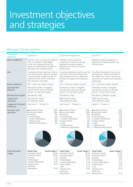## Investment objectives and strategies

### Managed Choice options

| Investment<br>objectives               | <b>Aggressive</b>                                                                                                                                                                                                                                                    | <b>Moderately Aggressive</b>                                                                                                                                                                                                                                                                             | <b>Balanced</b>                                                                                                                                                                                                                                                                                          |
|----------------------------------------|----------------------------------------------------------------------------------------------------------------------------------------------------------------------------------------------------------------------------------------------------------------------|----------------------------------------------------------------------------------------------------------------------------------------------------------------------------------------------------------------------------------------------------------------------------------------------------------|----------------------------------------------------------------------------------------------------------------------------------------------------------------------------------------------------------------------------------------------------------------------------------------------------------|
| Most suitable for                      | Members with a very long timeframe<br>who can tolerate a high degree<br>of risk and understand that the<br>option is predominantly invested in<br>Australian and overseas shares.                                                                                    | Members with a long term<br>Members seeking moderate to<br>high levels of capital growth over<br>investment timeframe who are<br>prepared to accept material<br>the long term.<br>fluctuations in returns over the<br>shorter term.                                                                      |                                                                                                                                                                                                                                                                                                          |
| Aim                                    | To achieve strong investment returns<br>over the long term. Returns are likely<br>to be extremely volatile and risk of<br>capital loss over short to medium<br>term periods is very high.                                                                            | To achieve attractive returns over the<br>long term. Returns are likely to be<br>very volatile and risk of capital loss<br>of short to medium term periods is<br>high.                                                                                                                                   | To achieve favourable returns over<br>the long term. Returns are likely to<br>be volatile and a risk of capital loss<br>over short to medium term periods is<br>substantial.                                                                                                                             |
| Return objective                       | $CPI + 4.0\%$ over rolling 10 years                                                                                                                                                                                                                                  | $CPI + 3.5\%$ over rolling 10 years                                                                                                                                                                                                                                                                      | $CPI + 3.0\%$ over rolling 10 years                                                                                                                                                                                                                                                                      |
| <b>Standard Risk</b><br><b>Measure</b> | Estimated number of negative<br>annual returns over any 20 year<br>period, 4 to less than 6 years.                                                                                                                                                                   | Estimated number of negative<br>annual returns over any 20 year<br>period, 4 to less than 6 years.                                                                                                                                                                                                       | Estimated number of negative<br>annual returns over any 20 year<br>period, 3 to less than 4 years.                                                                                                                                                                                                       |
| <b>Risk Band and Label</b>             | Risk Band 6, High                                                                                                                                                                                                                                                    | Risk Band 6, High                                                                                                                                                                                                                                                                                        | Risk Band 5, Medium to High                                                                                                                                                                                                                                                                              |
| Target asset<br>allocation             | 94% Growth assets,<br>6% defensive assets                                                                                                                                                                                                                            | 80% Growth assets,<br>20% defensive assets                                                                                                                                                                                                                                                               | 70% Growth assets,<br>30% defensive assets                                                                                                                                                                                                                                                               |
| Suggested minimum<br>timeframe         | Very long $(7 - 10$ years +)                                                                                                                                                                                                                                         | Very long $(7 - 10$ years +)                                                                                                                                                                                                                                                                             | Long $(5 - 10 \text{ years} + )$                                                                                                                                                                                                                                                                         |
| Strategic asset<br>allocation          | • Australian Shares<br>34%<br>• Overseas Shares<br>34%<br>5%<br>• Property<br>$5\%$<br>• Private Equity<br>• Growth Alternatives<br>8%<br>$\bullet$ Infrastructure<br>9%<br>• Defensive Alternatives<br>5%                                                           | • Australian Shares<br>30%<br>• Overseas Shares<br>30%<br>• Property<br>6%<br>• Private Equity<br>4%<br>• Growth Alternatives<br>7%<br>• Fixed Interest<br>7%<br>2%<br>$\bullet$ Cash<br>$\bullet$ Infrastructure<br>8%<br>• Defensive Alternatives<br>6%                                                | • Australian Shares<br>27%<br>• Overseas Shares<br>27%<br>• Property<br>8%<br>3%<br>• Private Equity<br>• Growth Alternatives<br>6%<br>• Fixed Interest<br>13%<br>$\bullet$ Cash<br>3%<br>$\bullet$ Infrastructure<br>6%<br>• Defensive Alternatives<br>7%                                               |
| Asset allocation<br>ranges             | <b>Asset class</b><br>Asset range %<br>Australian Shares<br>25-60<br>Overseas Shares<br>25-60<br>$0 - 15$<br>Property<br>$0 - 15$<br>Private Equity<br>Growth Alternatives<br>$0 - 20$<br>Infrastructure<br>$0 - 20$<br>Defensive<br><b>Alternatives</b><br>$0 - 15$ | Asset class<br>Asset range %<br>Australian Shares<br>20-55<br>Overseas Shares<br>20-55<br>Property<br>$0 - 20$<br>Private Equity<br>$0 - 15$<br>Growth Alternatives<br>$0 - 20$<br>Fixed Interest<br>$0 - 15$<br>$0 - 15$<br>Cash<br>Infrastructure<br>$0 - 15$<br>Defensive<br>Alternatives<br>$0 - 15$ | Asset class<br>Asset range %<br>Australian Shares<br>15-45<br>15-45<br>Overseas Shares<br>$0 - 20$<br>Property<br>$0 - 15$<br>Private Equity<br>Growth Alternatives<br>$0 - 15$<br>Fixed Interest<br>$0 - 30$<br>Cash<br>$0 - 15$<br>$0 - 15$<br>Infrastructure<br>Defensive<br>Alternatives<br>$0 - 15$ |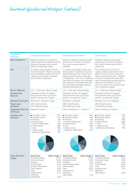*Investment objectives and strategies (continued)*

| Investment<br>objectives               | <b>Conservative Balanced</b>                                                                                                                                                                                                                                                                                                      | <b>Moderately Conservative</b>                                                                                                                                                                                                                                                                                                                                | <b>Conservative</b>                                                                                                                                                                                                                                                                                                                                     |
|----------------------------------------|-----------------------------------------------------------------------------------------------------------------------------------------------------------------------------------------------------------------------------------------------------------------------------------------------------------------------------------|---------------------------------------------------------------------------------------------------------------------------------------------------------------------------------------------------------------------------------------------------------------------------------------------------------------------------------------------------------------|---------------------------------------------------------------------------------------------------------------------------------------------------------------------------------------------------------------------------------------------------------------------------------------------------------------------------------------------------------|
| Most suitable for                      | Members seeking an investment<br>option which has a relatively neutral<br>allocation between both growth<br>assets and defensive assets.                                                                                                                                                                                          | Members seeking moderate capital<br>growth over the short to medium<br>term with moderate levels of<br>volatility.                                                                                                                                                                                                                                            | Members seeking some capital<br>growth over the short to medium<br>term while minimising the risk of<br>capital loss.                                                                                                                                                                                                                                   |
| Aim                                    | To achieve solid long term returns<br>over the long term. Returns are likely<br>to be moderately volatile and risk of<br>capital loss over short to medium<br>term periods is significant.                                                                                                                                        | To achieve reasonable returns over<br>the long term. Volatility of returns is<br>likely to be lower than that of more<br>equity-oriented options, although<br>still significant. The risk of capital loss<br>over short to medium term periods is<br>also expected to be lower than that<br>of more equity-orientated options,<br>although still significant. | To minimise the risk of loss of<br>capital, whilst accepting that this is<br>likely to result in lower investment<br>returns over the long term. Volatility<br>of returns is likely to be lower than<br>that of more equity-oriented options,<br>although still material, and over<br>short to medium term periods some<br>risk of capital loss exists. |
| Return objective                       | CPI + 2.75% over rolling 10 years                                                                                                                                                                                                                                                                                                 | $CPI + 2.5\%$ over rolling 10 years                                                                                                                                                                                                                                                                                                                           | CPI + 2.0% over rolling 10 years                                                                                                                                                                                                                                                                                                                        |
| <b>Standard Risk</b><br><b>Measure</b> | Estimated number of negative<br>annual returns over any 20 year<br>period, 3 to less than 4 years.                                                                                                                                                                                                                                | Estimated number of negative<br>annual returns over any 20 year<br>period, 2 to less than 3 years.                                                                                                                                                                                                                                                            | Estimated number of negative<br>annual returns over any 20 year<br>period, 1 to less than 2 years.                                                                                                                                                                                                                                                      |
| <b>Risk Band and Label</b>             | Risk Band 5, Medium to High                                                                                                                                                                                                                                                                                                       | Risk Band 4, Medium                                                                                                                                                                                                                                                                                                                                           | Risk Band 3, Low to Medium                                                                                                                                                                                                                                                                                                                              |
| Target asset<br>allocation             | 55% Growth assets,<br>45% defensive assets                                                                                                                                                                                                                                                                                        | 40% Growth assets,<br>60% defensive assets                                                                                                                                                                                                                                                                                                                    | 25% Growth assets,<br>75% defensive assets                                                                                                                                                                                                                                                                                                              |
| Suggested minimum<br>timeframe         | Medium (5 years +)                                                                                                                                                                                                                                                                                                                | Short to Medium $(3 - 5$ years +)                                                                                                                                                                                                                                                                                                                             | Short to Medium (3 years +)                                                                                                                                                                                                                                                                                                                             |
| Strategic asset<br>allocation          | • Australian Shares<br>21%<br>• Overseas Shares<br>21%<br>9%<br>• Property<br>$2\%$<br>• Private Equity<br>$6\%$<br>• Growth Alternatives<br>• Fixed Interest<br>18%<br>10%<br>$\bullet$ Cash<br>5%<br>$\bullet$ Infrastructure<br>8%<br>• Defensive Alternatives                                                                 | · Australian Shares<br>16%<br>• Overseas Shares<br>16%<br>9%<br>• Property<br>• Growth Alternatives<br>6%<br>• Fixed Interest<br>21%<br>$\bullet$ Cash<br>19%<br>$\bullet$ Infrastructure<br>3%<br>• Defensive Alternatives<br>10%                                                                                                                            | · Australian Shares<br>10%<br>• Overseas Shares<br>9%<br>10%<br>• Property<br>• Fixed Interest<br>28%<br>27%<br>$\bullet$ Cash<br>$\bullet$ Infrastructure<br>2%<br>• Defensive Alternatives<br>14%                                                                                                                                                     |
| Asset allocation<br>ranges             | <b>Asset class</b><br>Asset range %<br><b>Australian Shares</b><br>$10 - 45$<br>10-45<br>Overseas Shares<br>$0 - 20$<br>Property<br>$0 - 15$<br>Private Equity<br><b>Growth Alternatives</b><br>$0 - 15$<br>Fixed Interest<br>$0 - 30$<br>Cash<br>$0 - 20$<br>Infrastructure<br>$0 - 15$<br>Defensive<br>Alternatives<br>$0 - 20$ | <b>Asset class</b><br>Asset range %<br>Australian Shares<br>10-30<br>Overseas Shares<br>10-30<br>$0 - 20$<br>Property<br>Growth Alternatives<br>$0 - 15$<br>Fixed Interest<br>$5 - 30$<br>Cash<br>$10 - 35$<br>Infrastructure<br>$0 - 15$<br>Defensive<br>Alternatives<br>$0 - 25$                                                                            | <b>Asset class</b><br>Asset range %<br><b>Australian Shares</b><br>$0 - 25$<br>$0 - 20$<br>Overseas Shares<br>$0 - 25$<br>Property<br>Fixed Interest<br>$10 - 45$<br>20-55<br>Cash<br>Infrastructure<br>$0 - 15$<br>Defensive<br>Alternatives<br>$0 - 30$                                                                                               |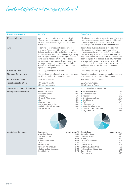*Investment objectives and strategies (continued)*

| <b>Investment objectives</b> | <b>RetirePlus</b>                                                                                                                                                                                                                                                                                                                                                                                                                                                                                 |                                                                                                                     | <b>RetireStable</b>                                                                                                                                                                                                                                                                                                                                                                                                                                                                                           |                                                                                                                                       |
|------------------------------|---------------------------------------------------------------------------------------------------------------------------------------------------------------------------------------------------------------------------------------------------------------------------------------------------------------------------------------------------------------------------------------------------------------------------------------------------------------------------------------------------|---------------------------------------------------------------------------------------------------------------------|---------------------------------------------------------------------------------------------------------------------------------------------------------------------------------------------------------------------------------------------------------------------------------------------------------------------------------------------------------------------------------------------------------------------------------------------------------------------------------------------------------------|---------------------------------------------------------------------------------------------------------------------------------------|
| Most suitable for            | Members seeking returns above the rate of<br>inflation over the long term who are looking<br>for additional protection against inflation and<br>market risk.                                                                                                                                                                                                                                                                                                                                      |                                                                                                                     | Members seeking returns above the rate of inflation<br>over the long term who are looking for additional<br>protection against inflation and market risk but<br>with less growth-oriented assets than RetirePlus                                                                                                                                                                                                                                                                                              |                                                                                                                                       |
| Aim                          | To achieve solid investment returns over the<br>long term. Compared with other options with a<br>similar overall risk profile, RetirePlus is expected<br>to provide some additional protection against key<br>risks facing those in or approaching retirement,<br>being market risk and inflation risk. Returns<br>are expected to be moderately volatile and risk<br>of capital loss over short to medium periods<br>is significant although lower than that of more<br>equity-oriented options. |                                                                                                                     | To invest in a diversified portfolio of assets with<br>a lower exposure to listed equities and other<br>growth-oriented assets than RetirePlus, accepting<br>that this is likely to result in lower returns over the<br>long term. RetireStable is expected to provide some<br>additional protection against key risks facing those<br>in or approaching retirement, being market risk<br>and inflation risk. Returns are expected to be more<br>stable relative to those of more equity-oriented<br>options. |                                                                                                                                       |
| Return objective             | CPI + 2.5% over rolling 10 years                                                                                                                                                                                                                                                                                                                                                                                                                                                                  |                                                                                                                     | CPI + 2.0% over rolling 10 years                                                                                                                                                                                                                                                                                                                                                                                                                                                                              |                                                                                                                                       |
| <b>Standard Risk Measure</b> | Estimated number of negative annual returns over<br>any 20 year period, 2 to less than 3 years.                                                                                                                                                                                                                                                                                                                                                                                                   |                                                                                                                     | Estimated number of negative annual returns over<br>any 20 year period, 1 to less than 2 years.                                                                                                                                                                                                                                                                                                                                                                                                               |                                                                                                                                       |
| <b>Risk Band and Label</b>   | Risk Band 4, Medium                                                                                                                                                                                                                                                                                                                                                                                                                                                                               |                                                                                                                     | Risk Band 3, Low to Medium                                                                                                                                                                                                                                                                                                                                                                                                                                                                                    |                                                                                                                                       |
| Target asset allocation      | 50% Growth assets,<br>50% defensive assets                                                                                                                                                                                                                                                                                                                                                                                                                                                        |                                                                                                                     | 25% Growth Assets,<br>75% Defensive Assets                                                                                                                                                                                                                                                                                                                                                                                                                                                                    |                                                                                                                                       |
| Suggested minimum timeframe  | Medium (5 years +)                                                                                                                                                                                                                                                                                                                                                                                                                                                                                |                                                                                                                     | Short to medium $(3-5$ years +)                                                                                                                                                                                                                                                                                                                                                                                                                                                                               |                                                                                                                                       |
| Strategic asset allocation   | • Australian Shares<br>• Overseas Shares<br>• Property<br>• Growth Alternatives<br>$\bullet$ Cash<br>$\bullet$ Infrastructure<br>• Defensive Alternatives<br>• Inflation Linked Securities<br>• Target Return                                                                                                                                                                                                                                                                                     | 19%<br>18%<br>6%<br>6%<br>6%<br>6%<br>14%<br>18%<br>7%                                                              | • Australian Shares<br>• Overseas Shares<br>• Property<br>• Growth Alternatives<br>• Fixed Interest<br>$\bullet$ Cash<br>$\bullet$ Infrastructure<br>• Defensive Alternatives<br>· Inflation Linked Securities<br><b>Target Return</b>                                                                                                                                                                                                                                                                        | 11%<br>10%<br>6%<br>5%<br>12%<br>14%<br>5%<br>13%<br>18%<br>6%                                                                        |
| Asset allocation ranges      | <b>Asset class</b><br>Australian Shares<br>Overseas Shares<br>Property<br>Growth Alternatives<br>Cash<br>Infrastructure<br>Defensive Alternatives<br>Inflation Linked Securities<br>Target Return                                                                                                                                                                                                                                                                                                 | Asset range %<br>10-40<br>10-40<br>$0 - 15$<br>$0 - 15$<br>$0 - 20$<br>$0 - 15$<br>$5 - 30$<br>$5 - 30$<br>$0 - 20$ | <b>Asset class</b><br><b>Australian Shares</b><br>Overseas Shares<br>Property<br>Growth Alternatives<br>Cash<br>Infrastructure<br>Defensive Alternatives<br>Inflation Linked Securities<br>Target Return<br><b>Fixed Interest</b>                                                                                                                                                                                                                                                                             | Asset range %<br>$5 - 25$<br>$5 - 25$<br>$0 - 20$<br>$0 - 15$<br>$0 - 30$<br>$0 - 15$<br>$5 - 25$<br>$5 - 30$<br>$0 - 15$<br>$5 - 25$ |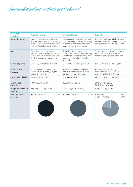### *Investment objectives and strategies (continued)*

| Investment<br>objectives        | <b>Australian Shares</b>                                                                                                                                           | <b>Overseas Shares</b>                                                                                                                                            | Property                                                                                                            |
|---------------------------------|--------------------------------------------------------------------------------------------------------------------------------------------------------------------|-------------------------------------------------------------------------------------------------------------------------------------------------------------------|---------------------------------------------------------------------------------------------------------------------|
| Most suitable for               | Members who seek capital growth<br>over the longer term and are willing<br>to accept the fluctuations associated<br>with the Australian Stock Exchange.            | Members who seek capital growth<br>over the longer term and are willing<br>to accept fluctuations with world<br>share markets and currencies.                     | Members seeking a relatively stable<br>income stream with the potential for<br>capital growth over the longer term. |
| Aim                             | To achieve strong investments<br>returns. Returns are likely to be very<br>volatile and risk of capital loss over<br>short to medium term periods is<br>very high. | To achieve strong investment<br>returns. Returns are likely to be very<br>volatile and risk of capital loss over<br>short to medium term periods is<br>very high. | To achieve solid investment returns.<br>Risk of capital loss over short to<br>medium term periods is significant.   |
| Return objective                | $CPI + 4.0\%$ over rolling 10 years                                                                                                                                | $CPI + 4.0\%$ over rolling 10 years                                                                                                                               | $CPI + 3.0\%$ over rolling 10 years                                                                                 |
| <b>Standard Risk</b><br>Measure | Estimated number of negative<br>annual returns over any 20 year<br>period, 6 or greater.                                                                           | Estimated number of negative<br>annual returns over any 20 year<br>period, 4 to less than 6 years.                                                                | Estimated number of negative<br>annual returns over any 20 year<br>period, 3 to less than 4 years.                  |
| <b>Risk Band and Label</b>      | Risk Band 7, Very High                                                                                                                                             | Risk Band 6, High                                                                                                                                                 | Risk Band 5, Medium to High                                                                                         |
| Target asset<br>allocation      | 100% Growth assets                                                                                                                                                 | 100% Growth assets                                                                                                                                                | 20% Growth assets,<br>80% defensive assets                                                                          |
| Suggested minimum<br>timeframe  | Very long $(7 - 10$ years +)                                                                                                                                       | Very long $(7 - 10$ years +)                                                                                                                                      | Long $(5 - 10 \text{ years} + )$                                                                                    |
| Strategic asset<br>allocation   | • Australian Shares<br>100%                                                                                                                                        | • Overseas Shares<br>100%                                                                                                                                         | 80%<br>• Property<br>• Listed Property<br>20%                                                                       |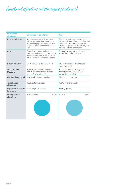*Investment objectives and strategies (continued)*

| Investment<br>objectives        | <b>Diversified Fixed Interest</b>                                                                                                                        | Cash                                                                                                                                                                                      |
|---------------------------------|----------------------------------------------------------------------------------------------------------------------------------------------------------|-------------------------------------------------------------------------------------------------------------------------------------------------------------------------------------------|
| Most suitable for               | Members seeking an investment<br>with a secure income stream but<br>acknowledging that there are risks<br>of capital losses when interest rates<br>rise. | Members seeking an investment<br>with a high level of security of capital<br>value over short term periods but<br>with the expectation of relatively low<br>returns over the longer term. |
| Aim                             | To achieve positive real returns<br>over the medium to long term with<br>volatility of returns expected to be<br>lower than that of equities options.    | To produce a return equal to or<br>above the official cash rate                                                                                                                           |
| Return objective                | $CPI + 2.0\%$ over rolling 10 years                                                                                                                      | To achieve positive returns in all<br>monthly periods                                                                                                                                     |
| <b>Standard Risk</b><br>Measure | Estimated number of negative<br>annual returns over any 20 year<br>period, 1 to less than 2.                                                             | Estimated number of negative<br>annual returns over any 20 year<br>period, less than 0.5.                                                                                                 |
| <b>Risk Band and Label</b>      | Risk Band 3, Low to Medium                                                                                                                               | Risk Band 1, Very Low                                                                                                                                                                     |
| Target asset<br>allocation      | 100% defensive assets                                                                                                                                    | 100% defensive assets                                                                                                                                                                     |
| Suggested minimum<br>timeframe  | Medium $(3 – 5$ years +)                                                                                                                                 | Short $(1$ year +)                                                                                                                                                                        |
| Strategic asset<br>allocation   | • Fixed Interest<br>100%                                                                                                                                 | 100%<br>$\bullet$ Cash                                                                                                                                                                    |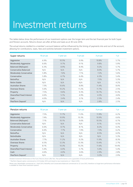## Investment returns

The tables below show the performance of our investment options over the longer term and the last financial year for both Super and Pension accounts. Returns shown are after all fees and taxes as at 30 June 2016.

The actual returns credited to a member's account balance will be influenced by the timing of payments into and out of the account, allowing for contributions, taxes, fees and switches between investment options.

| Super returns                  | 10 yrs pa | 7 year pa | 5 yrs pa | 3 yrs pa | 1 yr    |
|--------------------------------|-----------|-----------|----------|----------|---------|
| Aggressive                     | 6.9%      | 10.5%     | $9.9\%$  | 10.8%    | $5.7\%$ |
| <b>Moderately Aggressive</b>   | 6.6%      | 9.7%      | 9.1%     | 9.8%     | 5.9%    |
| <b>Balanced (MySuper)</b>      | 6.3%      | 8.9%      | 8.4%     | 9.2%     | 5.7%    |
| <b>Conservative Balanced</b>   | N/A       | N/A       | N/A      | 8.0%     | 5.7%    |
| <b>Moderately Conservative</b> | 5.8%      | 7.6%      | 7.1%     | 7.2%     | 5.6%    |
| Conservative                   | 5.8%      | $6.7\%$   | 6.4%     | 6.3%     | 5.4%    |
| <b>RetirePlus</b>              | N/A       | N/A       | N/A      | 7.5%     | 5.3%    |
| Retire Stable                  | N/A       | N/A       | N/A      | N/A      | 4.2%    |
| <b>Australian Shares</b>       | 7.3%      | 10.6%     | 8.8%     | 11.4%    | 8.0%    |
| <b>Overseas Shares</b>         | 5.6%      | 10.2%     | 11.2%    | 11.7%    | 2.5%    |
| Property                       | 7.5%      | 9.6%      | 9.3%     | 10.7%    | 13.3%   |
| Diversified Fixed Interest     | 4.6%      | 5.1%      | 4.9%     | 4.3%     | 4.6%    |
| Cash                           | $4.0\%$   | 3.4%      | $3.1\%$  | 2.5%     | 2.4%    |
| FlexiTerm Deposit <sup>^</sup> | N/A       | N/A       | N/A      | 2.8%     | 2.5%    |

| <b>Pension returns</b>         | 10 yrs pa | 7 year pa | 5 yrs pa | 3 yrs pa | 1 <sub>yr</sub> |
|--------------------------------|-----------|-----------|----------|----------|-----------------|
| Aggressive                     | 7.5%      | 11.7%     | 11.0%    | 11.9%    | 6.2%            |
| <b>Moderately Aggressive</b>   | 7.4%      | 10.9%     | 10.3%    | 10.9%    | 6.6%            |
| <b>Balanced (MySuper)</b>      | 7.1%      | 10.1%     | 9.6%     | 10.5%    | 6.7%            |
| Conservative Balanced          | N/A       | N/A       | N/A      | 9.1%     | 6.5%            |
| <b>Moderately Conservative</b> | 6.6%      | 8.7%      | 8.1%     | 8.2%     | 6.3%            |
| Conservative                   | 6.6%      | 7.7%      | 7.4%     | 7.3%     | 6.2%            |
| <b>RetirePlus</b>              | N/A       | N/A       | N/A      | 8.5%     | 6.0%            |
| RetireStable                   | N/A       | N/A       | N/A      | N/A      | 5.3%            |
| <b>Australian Shares</b>       | $7.7\%$   | $11.2\%$  | $9.2\%$  | 11.9%    | 8.3%            |
| <b>Overseas Shares</b>         | 6.5%      | 12.3%     | 13.3%    | 13.4%    | 2.7%            |
| Property                       | 8.1%      | 10.3%     | 10.2%    | 11.6%    | 14.4%           |
| Diversified Fixed Interest     | $5.4\%$   | 6.0%      | $5.7\%$  | 5.0%     | $5.4\%$         |
| Cash                           | 4.6%      | 4.0%      | $3.6\%$  | 2.9%     | 2.8%            |
| FlexiTerm Deposit^             | N/A       | N/A       | N/A      | 3.2%     | 2.9%            |

Detailed Investment Performance of the Fund. Returns shown after fees. Past performance is not a guarantee of future performance.

^ FlexiTerm Deposit option commenced on 23 October 2012 and closed to new investments on 1 March 2016.

Please note: RetireStable commenced on 1 April 2015; RetirePlus and Conservative Balanced commenced on 22 June 2012; therefore no longer-term performance information is available for these three investment options.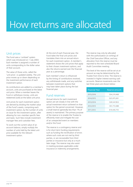# How returns are allocated

### Unit prices

The Fund uses a 'unitised' system which was introduced on 1 July 2003. Each member is assigned a number of units corresponding to the dollar value of their account.

The value of those units, called the 'unit price', is updated weekly. The unit price moves up or down depending on the investment performance of each investment option.

As contributions are added to a member's account, units are purchased at the latest unit price. When a member leaves the Fund or withdraws money, units are redeemed (sold) at the latest unit price.

Unit prices for each investment option are derived by dividing the market value of the Fund's assets, comprising each investment option, by the number of units on issue for the investment option, after allowing for non–member specific fees and taxes. Such fees include investment manager fees and custodian fees.

To work out the current value of an account balance, simply multiply the number of units held by the latest unit price available for the relevant investment option.

At the end of each financial year, the Fund takes the final unit prices and translates them into an annual return for each investment option. A member's statement shows the unit prices that apply to their chosen investment options, and also the returns earned over the financial year as a percentage.

Each member's return is influenced by the timing of contributions received, any withdrawals made, and any switches between investment options that may have taken place during the last financial year.

### Fund reserves

Annual returns for each investment option are set closely in line with the actual investment return achieved on that option for the period concerned. However, a small reserve (generally less than 1% of assets) is maintained. The primary purpose of the reserve is to enable the Trustee to efficiently meet and mitigate the cost of an unexpected event on members and/or the Fund.

The reserve is a contingency reserve and is for short term funding requirements such as funding the rectification of errors where such costs are not met by third parties, or are recoverable from third parties or insurance but only at a much later stage. The reserve may also assist in meeting excesses applicable under insurance or indemnity arrangements.

The reserve may only be allocated with the authorization (in writing) of the Chief Executive Officer, and any allocation from the reserve must be reported to the next scheduled Board Audit Committee meeting.

The level of the reserve will be set at an amount as may be determined by the Trustee from time to time. The reserve is invested in higher interest earning cash accounts. Reserve movements over the last three years are shown below:

| <b>Financial Year</b> | Reserve amount |
|-----------------------|----------------|
| 2015/2016             | \$54,219,468   |
| 2014/2015             | \$25,975,901   |
| 2013/2014             | \$39,547,853   |
| 2012/2013             | \$51,772,088   |
| 2011/2012             | \$19,440,755   |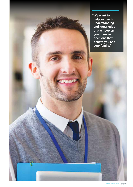**"We want to help you with understanding and knowledge that empowers you to make decisions that benefit you and your family."**

**START CARDS**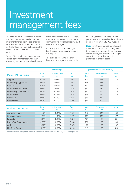## Investment management fees

The base fee covers the cost of investing the Fund's assets and is reliant on the investment managers in place, their fee structure and the asset allocation for a particular financial year. It also covers the cost of custodian fees and investment advice.

Some of the Fund's investment managers charge performance fees when they exceed agreed performance benchmarks. When performance fees are incurred, they are accompanied by a more than commensurate increase in returns by the investment manager.

If a manager does not meet agreed benchmarks, then no performance fee will be paid.

The table below shows the annual investment management fees for the

financial year ended 30 June 2016 in percentage terms as well as the equivalent dollar cost for every \$10,000 invested.

**Note:** Investment management fees will vary from year to year depending on the total amount of funds under management in each option, the investment managers appointed, and the investment performance of each option.

|                                | Percentage         |                    |                      | Equivalent dollar cost per \$10,000 |                    |                     |
|--------------------------------|--------------------|--------------------|----------------------|-------------------------------------|--------------------|---------------------|
| <b>Managed Choice options</b>  | <b>Base</b><br>fee | Performance<br>fee | <b>Total</b><br>fee. | <b>Base</b><br>fee                  | Performance<br>fee | <b>Total</b><br>fee |
| Aggressive                     | 0.71%              | 0.18%              | 0.89%                | \$71                                | \$18               | \$89                |
| <b>Moderately Aggressive</b>   | 0.68%              | 0.15%              | 0.83%                | \$68                                | \$15               | \$83                |
| <b>Balanced</b>                | 0.70%              | 0.14%              | 0.84%                | \$70                                | \$14               | \$84                |
| <b>Conservative Balanced</b>   | 0.59%              | 0.11%              | 0.70%                | \$59                                | \$11               | \$70                |
| <b>Moderately Conservative</b> | 0.52%              | 0.08%              | $0.60\%$             | \$52                                | \$8                | \$60                |
| Conservative                   | 0.45%              | 0.05%              | $0.50\%$             | \$45                                | \$5                | \$50                |
| <b>RetirePlus</b>              | 0.56%              | 0.05%              | 0.61%                | \$56                                | \$5                | \$61                |
| RetireStable                   | 0.51%              | 0.03%              | 0.54%                | \$51                                | \$3                | \$54                |

| <b>Build Your Own options</b> | <b>Base</b><br>fee | Performance<br>fee | Total<br>fee | <b>Base</b><br>fee | Performance<br>fee | <b>Total</b><br>fee |
|-------------------------------|--------------------|--------------------|--------------|--------------------|--------------------|---------------------|
| <b>Australian Shares</b>      | $0.47\%$           | 0.42%              | 0.89%        | \$47               | \$42               | \$89                |
| <b>Overseas Shares</b>        | 0.65%              | $0.12\%$           | 0.77%        | \$65               | \$12               | \$77                |
| Property                      | 0.61%              | $0.00\%$           | 0.61%        | \$61               | \$0                | \$61                |
| Diversified Fixed Interest    | 0.38%              | $0.00\%$           | 0.38%        | \$38               | \$0                | \$38                |
| Cash                          | $0.07\%$           | $0.00\%$           | 0.07%        | \$7                | \$0                | \$7                 |
| FlexiTerm Deposit             | $0.19\%$           | $0.00\%$           | 0.19%        | \$19               | \$0                | \$19                |

The base investment management fee and performance fee is calculated using the 2015/2016 financial year data.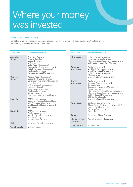## Where your money was invested

#### Investment managers

This table shows the investment managers appointed by the Fund, for each asset class as at 31 October 2016. These managers may change from time to time.

| <b>Asset Class</b>                                                                                                                                                                                                                                               | <b>Investment Managers</b>                                                                                                                       | <b>Asset Class</b><br><b>Investment Managers</b> |                                                                                                                                                                                                                                                                       |  |
|------------------------------------------------------------------------------------------------------------------------------------------------------------------------------------------------------------------------------------------------------------------|--------------------------------------------------------------------------------------------------------------------------------------------------|--------------------------------------------------|-----------------------------------------------------------------------------------------------------------------------------------------------------------------------------------------------------------------------------------------------------------------------|--|
| Australian<br>Allan Gray Australia<br>Alliance Bernstein<br><b>Shares</b><br>Cooper Investors<br>L1 Capital                                                                                                                                                      |                                                                                                                                                  | Infrastructure                                   | Industry Funds Management<br>Infrastructure Capital Group<br>Macquarie Specialised Asset Management<br>Lighthouse Infrastructure Management                                                                                                                           |  |
|                                                                                                                                                                                                                                                                  | Ophir Asset Management<br>Paradice Investment Management<br>Plato Investment Management<br>RealIndex Investments<br>Renaissance Asset Management |                                                  | Apollo Management<br><b>BlackRock Asset Management</b><br><b>BroadRiver Asset Management</b><br>Industry Funds Management<br>Morrison & Co                                                                                                                            |  |
| Overseas                                                                                                                                                                                                                                                         | Acadian Asset Management                                                                                                                         |                                                  | Vinva Investment Management                                                                                                                                                                                                                                           |  |
| Copper Rock Capital Partners<br><b>Shares</b><br>Generation Investment Management<br>Janus Capital<br>MFS Investment Management<br>Northcape Capital<br>Orbis Investment Advisory<br>RealIndex Investments<br>Stewart Investors<br>Thompson Horstmann and Bryant |                                                                                                                                                  | Growth<br><b>Alternatives</b>                    | Apollo Management<br>Bentham Asset Management<br>Campus Living<br>Generation Investment Management<br>Japara Healthcare<br>Macquarie Agricultural Funds Management<br>Macquarie Specialised Asset Management<br>Oaktree Capital Management<br>OEII Car Park Portfolio |  |
| Property                                                                                                                                                                                                                                                         | <b>AMP Capital Investors</b>                                                                                                                     |                                                  | Shenkman Capital Management                                                                                                                                                                                                                                           |  |
|                                                                                                                                                                                                                                                                  | Goodman Australia Industrial Fund<br><b>GPT Wholesale Office Fund</b><br>Lend Lease Real Estate Investment<br><b>SG Hiscock</b>                  |                                                  | Continuity Capital Partners<br>Global Energy Efficiency and Renewable Fund<br>Harbour Vest Partners Limited<br>Pantheon Ventures Limited                                                                                                                              |  |
| <b>Fixed Interest</b>                                                                                                                                                                                                                                            | <b>AMP Capital Investors</b><br>Apollo Management<br>Industry Funds Management                                                                   |                                                  | Siguler Guff                                                                                                                                                                                                                                                          |  |
|                                                                                                                                                                                                                                                                  |                                                                                                                                                  | Currency                                         | <b>State Street Global Advisors</b>                                                                                                                                                                                                                                   |  |
|                                                                                                                                                                                                                                                                  | Members Equity<br>Metrics Credit Partners                                                                                                        | <b>Inflation Linked</b>                          | Ardea Investment Management                                                                                                                                                                                                                                           |  |
| Cash                                                                                                                                                                                                                                                             | Macquarie Funds Management                                                                                                                       | <b>Securities</b>                                |                                                                                                                                                                                                                                                                       |  |
| <b>Term Deposits</b>                                                                                                                                                                                                                                             | Internally managed                                                                                                                               | <b>Target Return</b>                             | Standard Life                                                                                                                                                                                                                                                         |  |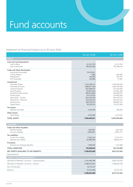# Fund accounts

#### Statement of Financial Position as at 30 June 2016

|                                                                                                                                                                                                                                          | $30 - Jun - 16($ \$)                                                                                                                                  | $30 - Jun - 15($ \$)                                                                                                                                  |
|------------------------------------------------------------------------------------------------------------------------------------------------------------------------------------------------------------------------------------------|-------------------------------------------------------------------------------------------------------------------------------------------------------|-------------------------------------------------------------------------------------------------------------------------------------------------------|
| <b>ASSETS</b>                                                                                                                                                                                                                            |                                                                                                                                                       |                                                                                                                                                       |
| <b>Cash and Cash Equivalents</b><br>Cash at Bank<br>Cash Investments                                                                                                                                                                     | 22,522,750<br>766,381,696                                                                                                                             | 33,112,104<br>793,308,192                                                                                                                             |
| <b>Trade and Other Receivables</b><br>Investments Receivable<br>Sundry Debtors<br>Prepayments<br><b>GST Receivable</b>                                                                                                                   | 174,197,631<br>7,680<br>165,000<br>183,898                                                                                                            | 404,865<br>254,347<br>111,961                                                                                                                         |
| Investments<br>Australian Shares<br>International Shares<br>Unlisted Property<br>Listed Property<br>Diversified Fixed Interest<br>Private Equity<br>Alternatives - Growth<br>Alternatives - Defensive<br>Infrastructure<br>Target Return | 1,672,466,131<br>1,886,811,548<br>403,498,977<br>123,810,304<br>585,873,804<br>237,727,614<br>454,259,546<br>676,563,312<br>408,758,913<br>38,220,216 | 1,559,246,028<br>1,839,376,566<br>373,676,683<br>101,945,366<br>536,899,037<br>218,468,346<br>464,138,732<br>627,410,750<br>368,891,567<br>20,573,364 |
| <b>Tax Assets</b>                                                                                                                                                                                                                        |                                                                                                                                                       |                                                                                                                                                       |
| Deferred Tax Asset                                                                                                                                                                                                                       | 1,433,243                                                                                                                                             | 599,823                                                                                                                                               |
| <b>Other Assets</b><br><b>Fixed Assets</b>                                                                                                                                                                                               | 3,518,368                                                                                                                                             | 3,337,581                                                                                                                                             |
| <b>TOTAL ASSETS</b>                                                                                                                                                                                                                      | 7,456,400,631                                                                                                                                         | 6,941,834,902                                                                                                                                         |
| <b>LIABILITIES</b>                                                                                                                                                                                                                       |                                                                                                                                                       |                                                                                                                                                       |
| <b>Trade and Other Payables</b><br>Benefits Payable<br>Accounts Payable                                                                                                                                                                  | 1,687,967<br>9,850,851                                                                                                                                | 1,691,500<br>9,855,757                                                                                                                                |
| <b>Tax Liabilities</b><br>Current Tax Liability<br>Deferred Tax Liability                                                                                                                                                                | 11,842,102<br>93,868,009                                                                                                                              | 15,131,477<br>96,863,237                                                                                                                              |
| <b>Provisions</b><br>Provision for Employee Benefits                                                                                                                                                                                     | 1,099,693                                                                                                                                             | 1,191,888                                                                                                                                             |
| <b>TOTAL LIABILITIES</b>                                                                                                                                                                                                                 | 118,348,622                                                                                                                                           | 124,733,859                                                                                                                                           |
| <b>NET ASSETS AVAILABLE TO PAY BENEFITS</b>                                                                                                                                                                                              | 7,338,052,009                                                                                                                                         | 6,817,101,043                                                                                                                                         |
| Represented by:                                                                                                                                                                                                                          |                                                                                                                                                       |                                                                                                                                                       |
| <b>LIABILITY FOR ACCRUED BENEFITS</b>                                                                                                                                                                                                    |                                                                                                                                                       |                                                                                                                                                       |
| Allocated to Members' Accounts - Superannuation                                                                                                                                                                                          | 5,141,048,789                                                                                                                                         | 4,993,118,434                                                                                                                                         |
| Allocated to Members' Accounts - Pension                                                                                                                                                                                                 | 2,088,613,625                                                                                                                                         | 1,798,006,708                                                                                                                                         |
| Not Yet Allocated                                                                                                                                                                                                                        | 54,170,127                                                                                                                                            |                                                                                                                                                       |
| Reserves                                                                                                                                                                                                                                 | 54,219,468                                                                                                                                            | 25,975,901                                                                                                                                            |
|                                                                                                                                                                                                                                          | 7,338,052,009                                                                                                                                         | 6,817,101,043                                                                                                                                         |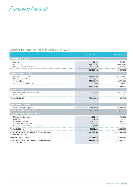*Fund accounts (continued)*

#### Operating Statement For The Year Ended 30 June 2016

|                                                                                                                              | $30 - Jun - 16$ (\$)                                                | $30 - Jun - 15($ \$)                                                  |
|------------------------------------------------------------------------------------------------------------------------------|---------------------------------------------------------------------|-----------------------------------------------------------------------|
| <b>INVESTMENT REVENUE</b>                                                                                                    |                                                                     |                                                                       |
| Interest<br><b>Distributions</b><br>Changes in Net Market Value                                                              | 490,434<br>354,509,342<br>82,750,676                                | 662,084<br>244,160,041<br>420,275,582                                 |
|                                                                                                                              | 437,750,452                                                         | 665,097,707                                                           |
| <b>CONTRIBUTIONS REVENUE</b>                                                                                                 |                                                                     |                                                                       |
| <b>Employer Contributions</b><br>Member Contributions<br>Transfers In<br>Government Contributions                            | 330,434,760<br>113,696,121<br>140,015,588<br>713,480<br>584,859,949 | 312,047,469<br>138,216,564<br>169,705,260<br>3,664,676<br>623,633,969 |
| <b>OTHER REVENUE</b>                                                                                                         |                                                                     |                                                                       |
| Proceeds from Group Life Insurance<br>Other Income<br><b>TOTAL REVENUE</b>                                                   | 10,352,158<br>2,551<br>1,032,965,110                                | 10,314,163<br>5,663<br>1,299,051,502                                  |
| <b>INVESTMENT EXPENSES</b>                                                                                                   |                                                                     |                                                                       |
| Direct Investment Expenses                                                                                                   | 27,606,650                                                          | 19,990,086                                                            |
| <b>GROUP LIFE INSURANCE EXPENSES</b>                                                                                         | 26,672,988                                                          | 23,646,205                                                            |
| <b>GENERAL ADMINISTRATION EXPENSES</b>                                                                                       |                                                                     |                                                                       |
| Member Fee Expenses<br>Audit Fees<br>Operating Expenses<br>Anti-Detriment Payments<br>Superannuation Contributions Surcharge | 5,836,977<br>224,910<br>18,651,952<br>1,283,167<br>(4, 518)         | 5,481,588<br>273,558<br>15,352,703<br>916,799<br>(2, 244)             |
| <b>TOTAL EXPENSES</b>                                                                                                        | 80,272,126                                                          | 65,658,695                                                            |
| BENEFITS ACCRUED AS A RESULT OF OPERATIONS<br><b>BEFORE INCOME TAX</b>                                                       | 952,692,984                                                         | 1,233,392,807                                                         |
| <b>INCOME TAX EXPENSE</b>                                                                                                    | 43,258,548                                                          | 74,258,087                                                            |
| BENEFITS ACCRUED AS A RESULT OF OPERATIONS<br><b>AFTER INCOME TAX</b>                                                        | 909,434,436                                                         | 1,159,134,720                                                         |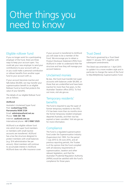# Other things you need to know

### Eligible rollover fund

If you no longer work for a participating employer of the Fund, there are three ways to keep your account open. You could ask your new employer to send your contributions to your account with us, or you could make a personal contribution or rollover benefits from another super fund to your account with us.

If your account becomes inactive and falls below \$4,000, we may transfer your superannuation benefit to an eligible Rollover Fund (a fund that protects the value of your benefit).

The details of our eligible Rollover Fund are as follows:

#### **AUSfund**

Australia's Unclaimed Super Fund Post: **Locked bag 5132, Parramatta NSW 2124** Email: **admin@ausfund.net.au** Phone: **1300 361 798** Internet: **[ausfund.com.au](http://www.ausfund.com.au)** International phone: **+61 3 9067 2525**

AUSfund is an eligible rollover fund into which lost super fund members or members with small inactive accounts are transferred. AUSfund has a low fee structure designed to protect members with small balances (e.g. \$14 administration fee per annum). Most members will continue to accumulate interest in AUSfund. AUSfund does not offer insurance cover. If your account is transferred to AUSfund you will cease to be a member of the Fund. We encourage you to obtain a Product Disclosure Statement (PDS) from AUSfund in order to understand their fee structure and how they will manage your account balance.

### Unclaimed monies

By law, the Fund must transfer lost super accounts with balances under \$4,000, or those that are unidentified and have been inactive for more than five years, to the Australian Taxation office (ATO). To find out more, visit [ato.gov.au](http://www.ato.gov.au).

### Temporary residents' benefits

The Fund is required to pay the super of former temporary residents to the ATO, if it has been more than six months since the former temporary resident employee departed Australia, and their visa has expired or been cancelled. Visit [ato.gov.au](http://www.ato.gov.au)  for more information.

### **Compliance**

The Fund is a regulated superannuation fund under the Superannuation Industry (Supervision) Act 1993. For the period 1 July 2015 to 30 June 2016, and all previous reporting periods, the Trustee is of the opinion that the Fund complied with all statutory requirements of superannuation, taxation and other relevant legislation, and that the Australian Prudential Regulation Authority (APRA) would be satisfied with the Fund's compliance for those years.

#### Trust Deed

The Fund is governed by a Trust Deed dated 11 January 1971, together with subsequent amendments.

The Deed was amended on 1 April 2015 to update it to a more modern style and in particular to change the name of the Fund to MyLifeMyMoney Superannuation Fund.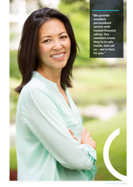**"We provide excellent personalised service with trusted financial advice. Our members know they're in safe hands. Just call us – we're here for you."**